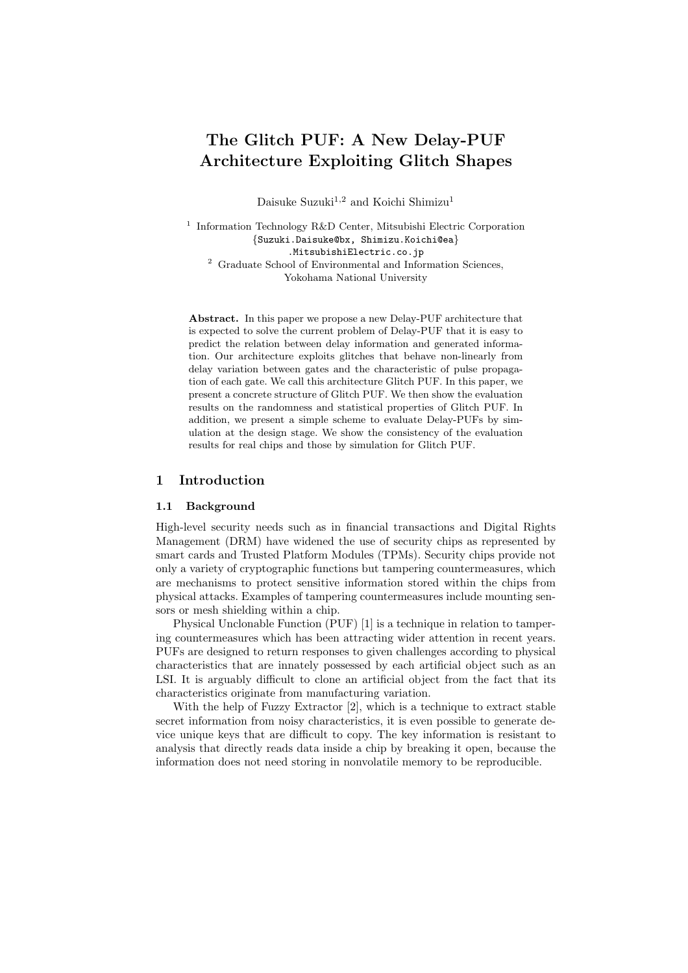# **The Glitch PUF: A New Delay-PUF Architecture Exploiting Glitch Shapes**

Daisuke Suzuki<sup>1,2</sup> and Koichi Shimizu<sup>1</sup>

<sup>1</sup> Information Technology R&D Center, Mitsubishi Electric Corporation *{*Suzuki.Daisuke@bx, Shimizu.Koichi@ea*}* .MitsubishiElectric.co.jp <sup>2</sup> Graduate School of Environmental and Information Sciences, Yokohama National University

**Abstract.** In this paper we propose a new Delay-PUF architecture that is expected to solve the current problem of Delay-PUF that it is easy to predict the relation between delay information and generated information. Our architecture exploits glitches that behave non-linearly from delay variation between gates and the characteristic of pulse propagation of each gate. We call this architecture Glitch PUF. In this paper, we present a concrete structure of Glitch PUF. We then show the evaluation results on the randomness and statistical properties of Glitch PUF. In addition, we present a simple scheme to evaluate Delay-PUFs by simulation at the design stage. We show the consistency of the evaluation results for real chips and those by simulation for Glitch PUF.

# **1 Introduction**

#### **1.1 Background**

High-level security needs such as in financial transactions and Digital Rights Management (DRM) have widened the use of security chips as represented by smart cards and Trusted Platform Modules (TPMs). Security chips provide not only a variety of cryptographic functions but tampering countermeasures, which are mechanisms to protect sensitive information stored within the chips from physical attacks. Examples of tampering countermeasures include mounting sensors or mesh shielding within a chip.

Physical Unclonable Function (PUF) [1] is a technique in relation to tampering countermeasures which has been attracting wider attention in recent years. PUFs are designed to return responses to given challenges according to physical characteristics that are innately possessed by each artificial object such as an LSI. It is arguably difficult to clone an artificial object from the fact that its characteristics originate from manufacturing variation.

With the help of Fuzzy Extractor [2], which is a technique to extract stable secret information from noisy characteristics, it is even possible to generate device unique keys that are difficult to copy. The key information is resistant to analysis that directly reads data inside a chip by breaking it open, because the information does not need storing in nonvolatile memory to be reproducible.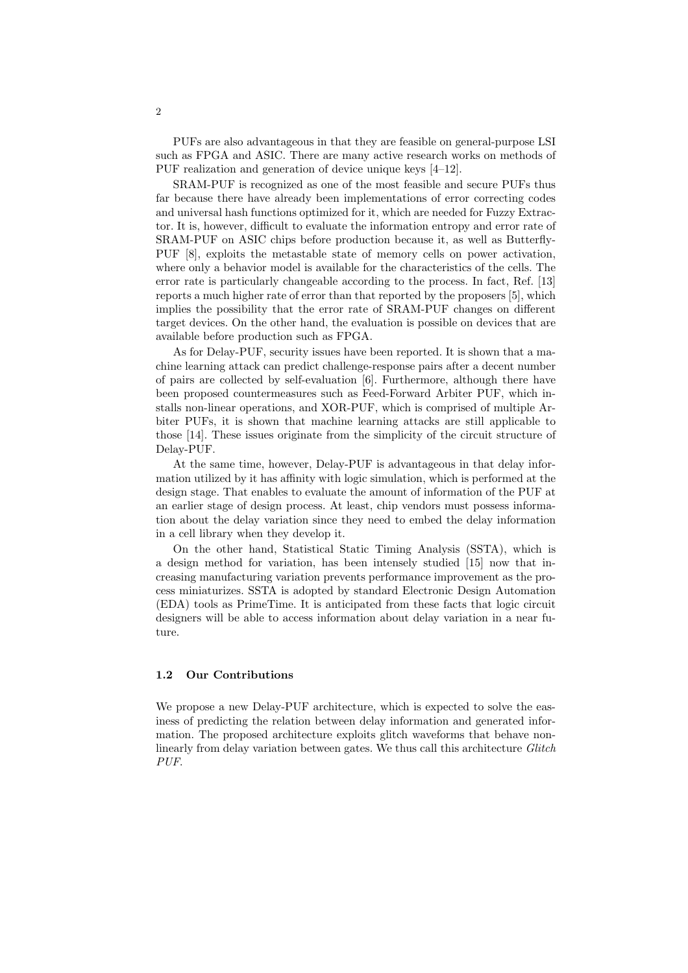PUFs are also advantageous in that they are feasible on general-purpose LSI such as FPGA and ASIC. There are many active research works on methods of PUF realization and generation of device unique keys [4–12].

SRAM-PUF is recognized as one of the most feasible and secure PUFs thus far because there have already been implementations of error correcting codes and universal hash functions optimized for it, which are needed for Fuzzy Extractor. It is, however, difficult to evaluate the information entropy and error rate of SRAM-PUF on ASIC chips before production because it, as well as Butterfly-PUF [8], exploits the metastable state of memory cells on power activation, where only a behavior model is available for the characteristics of the cells. The error rate is particularly changeable according to the process. In fact, Ref. [13] reports a much higher rate of error than that reported by the proposers [5], which implies the possibility that the error rate of SRAM-PUF changes on different target devices. On the other hand, the evaluation is possible on devices that are available before production such as FPGA.

As for Delay-PUF, security issues have been reported. It is shown that a machine learning attack can predict challenge-response pairs after a decent number of pairs are collected by self-evaluation [6]. Furthermore, although there have been proposed countermeasures such as Feed-Forward Arbiter PUF, which installs non-linear operations, and XOR-PUF, which is comprised of multiple Arbiter PUFs, it is shown that machine learning attacks are still applicable to those [14]. These issues originate from the simplicity of the circuit structure of Delay-PUF.

At the same time, however, Delay-PUF is advantageous in that delay information utilized by it has affinity with logic simulation, which is performed at the design stage. That enables to evaluate the amount of information of the PUF at an earlier stage of design process. At least, chip vendors must possess information about the delay variation since they need to embed the delay information in a cell library when they develop it.

On the other hand, Statistical Static Timing Analysis (SSTA), which is a design method for variation, has been intensely studied [15] now that increasing manufacturing variation prevents performance improvement as the process miniaturizes. SSTA is adopted by standard Electronic Design Automation (EDA) tools as PrimeTime. It is anticipated from these facts that logic circuit designers will be able to access information about delay variation in a near future.

# **1.2 Our Contributions**

We propose a new Delay-PUF architecture, which is expected to solve the easiness of predicting the relation between delay information and generated information. The proposed architecture exploits glitch waveforms that behave nonlinearly from delay variation between gates. We thus call this architecture *Glitch PUF*.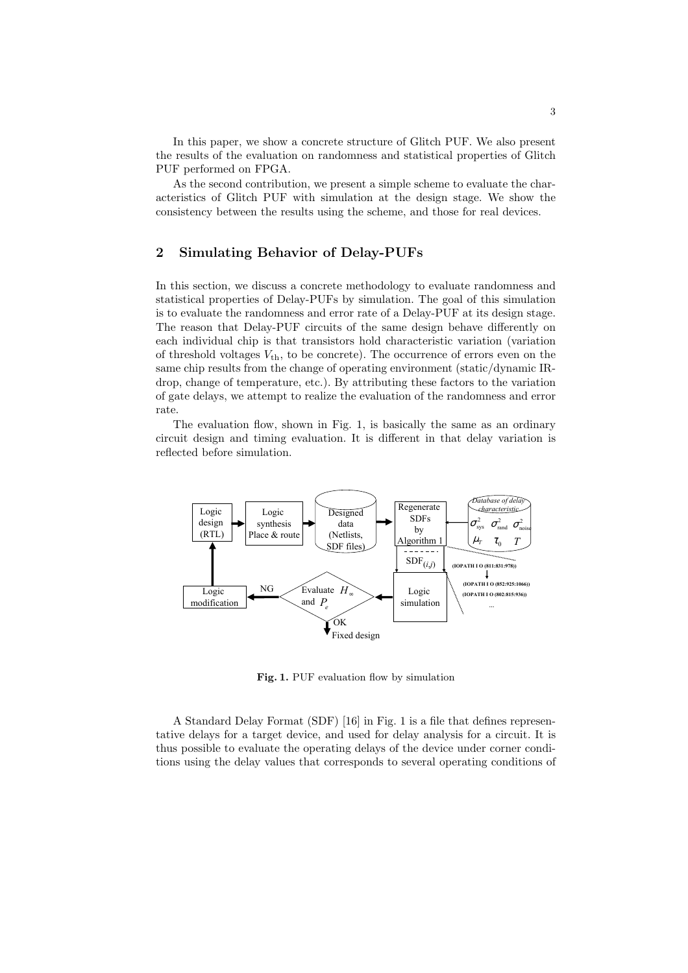In this paper, we show a concrete structure of Glitch PUF. We also present the results of the evaluation on randomness and statistical properties of Glitch PUF performed on FPGA.

As the second contribution, we present a simple scheme to evaluate the characteristics of Glitch PUF with simulation at the design stage. We show the consistency between the results using the scheme, and those for real devices.

# **2 Simulating Behavior of Delay-PUFs**

In this section, we discuss a concrete methodology to evaluate randomness and statistical properties of Delay-PUFs by simulation. The goal of this simulation is to evaluate the randomness and error rate of a Delay-PUF at its design stage. The reason that Delay-PUF circuits of the same design behave differently on each individual chip is that transistors hold characteristic variation (variation of threshold voltages  $V_{th}$ , to be concrete). The occurrence of errors even on the same chip results from the change of operating environment (static/dynamic IRdrop, change of temperature, etc.). By attributing these factors to the variation of gate delays, we attempt to realize the evaluation of the randomness and error rate.

The evaluation flow, shown in Fig. 1, is basically the same as an ordinary circuit design and timing evaluation. It is different in that delay variation is reflected before simulation.



Fig. 1. PUF evaluation flow by simulation

A Standard Delay Format (SDF) [16] in Fig. 1 is a file that defines representative delays for a target device, and used for delay analysis for a circuit. It is thus possible to evaluate the operating delays of the device under corner conditions using the delay values that corresponds to several operating conditions of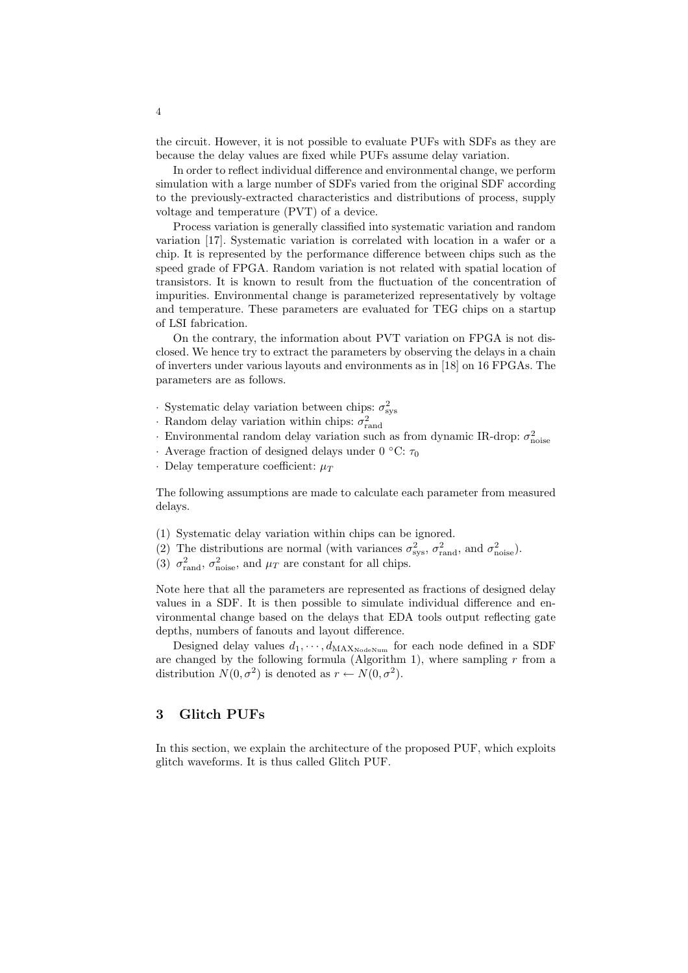the circuit. However, it is not possible to evaluate PUFs with SDFs as they are because the delay values are fixed while PUFs assume delay variation.

In order to reflect individual difference and environmental change, we perform simulation with a large number of SDFs varied from the original SDF according to the previously-extracted characteristics and distributions of process, supply voltage and temperature (PVT) of a device.

Process variation is generally classified into systematic variation and random variation [17]. Systematic variation is correlated with location in a wafer or a chip. It is represented by the performance difference between chips such as the speed grade of FPGA. Random variation is not related with spatial location of transistors. It is known to result from the fluctuation of the concentration of impurities. Environmental change is parameterized representatively by voltage and temperature. These parameters are evaluated for TEG chips on a startup of LSI fabrication.

On the contrary, the information about PVT variation on FPGA is not disclosed. We hence try to extract the parameters by observing the delays in a chain of inverters under various layouts and environments as in [18] on 16 FPGAs. The parameters are as follows.

- *·* Systematic delay variation between chips:  $\sigma_{\rm sys}^2$
- *·* Random delay variation within chips:  $\sigma_{\text{rand}}^2$
- *·* Environmental random delay variation such as from dynamic IR-drop:  $\sigma_{\text{noise}}^2$
- *·* Average fraction of designed delays under 0 *◦*C: *τ*<sup>0</sup>
- *·* Delay temperature coefficient: *µ<sup>T</sup>*

The following assumptions are made to calculate each parameter from measured delays.

- (1) Systematic delay variation within chips can be ignored.
- (2) The distributions are normal (with variances  $\sigma_{\rm sys}^2$ ,  $\sigma_{\rm rand}^2$ , and  $\sigma_{\rm noise}^2$ ).
- (3)  $\sigma_{\text{rand}}^2$ ,  $\sigma_{\text{noise}}^2$ , and  $\mu_T$  are constant for all chips.

Note here that all the parameters are represented as fractions of designed delay values in a SDF. It is then possible to simulate individual difference and environmental change based on the delays that EDA tools output reflecting gate depths, numbers of fanouts and layout difference.

Designed delay values  $d_1, \dots, d_{\text{MAX}_{\text{NodeNum}}}$  for each node defined in a SDF are changed by the following formula (Algorithm 1), where sampling *r* from a distribution  $N(0, \sigma^2)$  is denoted as  $r \leftarrow N(0, \sigma^2)$ .

# **3 Glitch PUFs**

In this section, we explain the architecture of the proposed PUF, which exploits glitch waveforms. It is thus called Glitch PUF.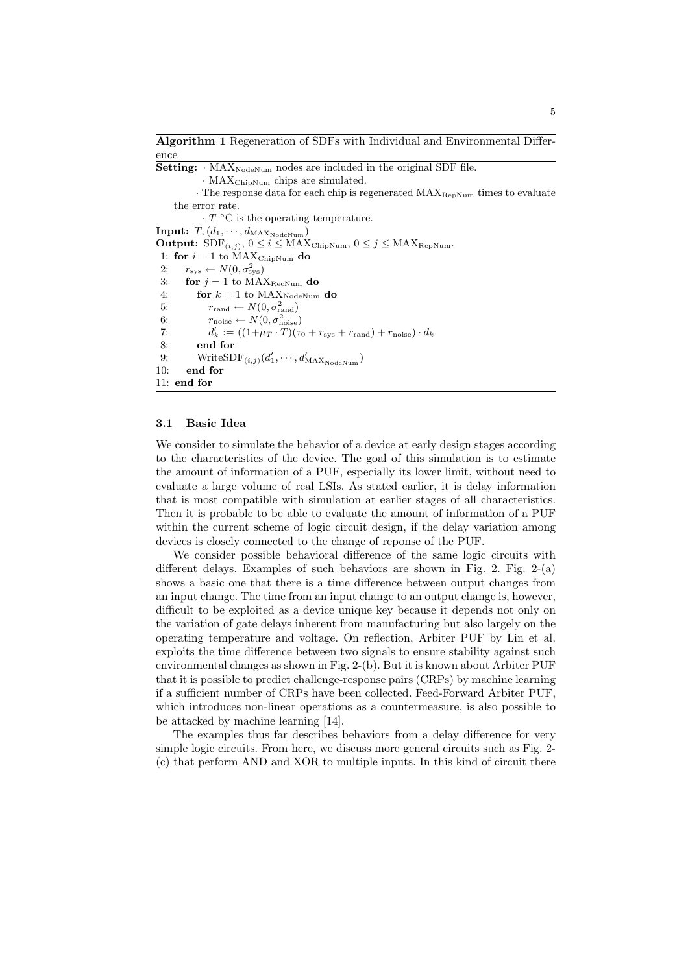**Algorithm 1** Regeneration of SDFs with Individual and Environmental Difference

**Setting:**  $\cdot$  MAX<sub>NodeNum</sub> nodes are included in the original SDF file. *·* MAXChipNum chips are simulated. *·* The response data for each chip is regenerated  $MAX_{\text{RepNum}}$  times to evaluate the error rate. *· T ◦*C is the operating temperature.  $\text{Input: } T, (d_1, \cdots, d_{\text{MAX}_{\text{NodeNum}}})$ **Output:**  $SDF_{(i,j)}$ ,  $0 \le i \le MAX_{ChipNum}$ ,  $0 \le j \le MAX_{RepNum}$ . 1: **for**  $i = 1$  to  $MAX_{ChipNum}$  **do** 2:  $r_{\text{sys}} \leftarrow N(0, \sigma_{\text{sys}}^2)$ 3: **for**  $j = 1$  to  $MAX_{\text{RecNum}}$  **do** 4: **for**  $k = 1$  to  $MAX_{\text{NodeNum}}$  **do** 5:  $r_{\text{rand}} \leftarrow N(0, \sigma_{\text{rand}}^2)$ 6:  $r_{\text{noise}} \leftarrow N(0, \sigma_{\text{noise}}^2)$ 7: *d*  $\mathbf{z}'_k := \left( (1+\mu_T \cdot T)(\tau_0 + r_{\rm sys} + r_{\rm rand}) + r_{\rm noise} \right) \cdot d_k$ 8: **end for** 9: WriteSDF<sub>(*i,j*)</sub>( $d'_{1}, \cdots, d'_{\text{MAX}_{\text{NodeNum}}})$ 10: **end for** 11: **end for**

## **3.1 Basic Idea**

We consider to simulate the behavior of a device at early design stages according to the characteristics of the device. The goal of this simulation is to estimate the amount of information of a PUF, especially its lower limit, without need to evaluate a large volume of real LSIs. As stated earlier, it is delay information that is most compatible with simulation at earlier stages of all characteristics. Then it is probable to be able to evaluate the amount of information of a PUF within the current scheme of logic circuit design, if the delay variation among devices is closely connected to the change of reponse of the PUF.

We consider possible behavioral difference of the same logic circuits with different delays. Examples of such behaviors are shown in Fig. 2. Fig. 2-(a) shows a basic one that there is a time difference between output changes from an input change. The time from an input change to an output change is, however, difficult to be exploited as a device unique key because it depends not only on the variation of gate delays inherent from manufacturing but also largely on the operating temperature and voltage. On reflection, Arbiter PUF by Lin et al. exploits the time difference between two signals to ensure stability against such environmental changes as shown in Fig. 2-(b). But it is known about Arbiter PUF that it is possible to predict challenge-response pairs (CRPs) by machine learning if a sufficient number of CRPs have been collected. Feed-Forward Arbiter PUF, which introduces non-linear operations as a countermeasure, is also possible to be attacked by machine learning [14].

The examples thus far describes behaviors from a delay difference for very simple logic circuits. From here, we discuss more general circuits such as Fig. 2- (c) that perform AND and XOR to multiple inputs. In this kind of circuit there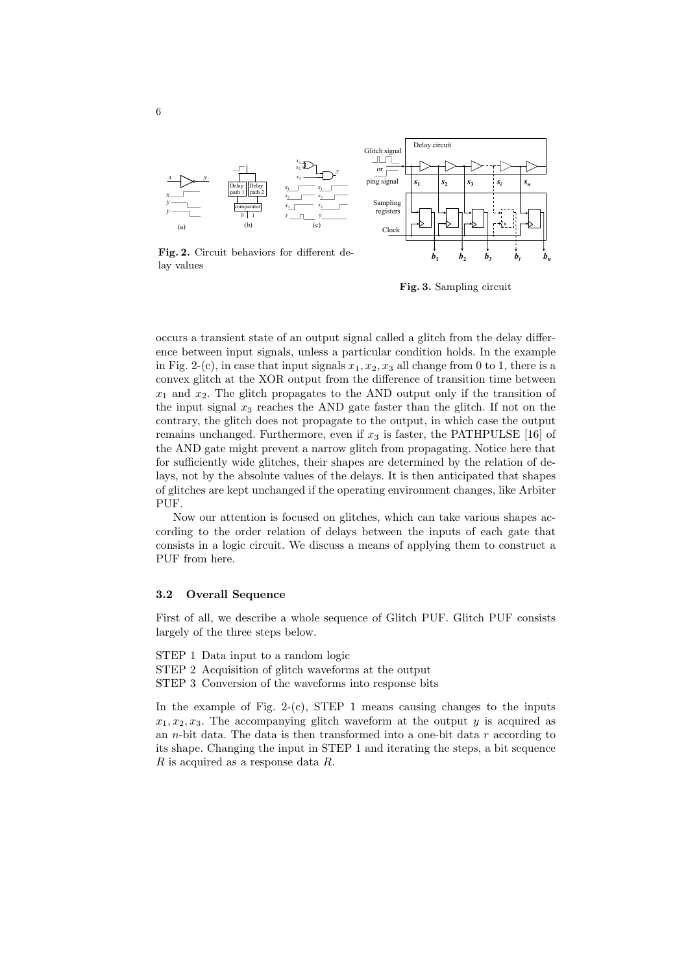

**Fig. 2.** Circuit behaviors for different delay values

**Fig. 3.** Sampling circuit

occurs a transient state of an output signal called a glitch from the delay difference between input signals, unless a particular condition holds. In the example in Fig. 2-(c), in case that input signals  $x_1, x_2, x_3$  all change from 0 to 1, there is a convex glitch at the XOR output from the difference of transition time between *x*<sup>1</sup> and *x*2. The glitch propagates to the AND output only if the transition of the input signal  $x_3$  reaches the AND gate faster than the glitch. If not on the contrary, the glitch does not propagate to the output, in which case the output remains unchanged. Furthermore, even if  $x_3$  is faster, the PATHPULSE [16] of the AND gate might prevent a narrow glitch from propagating. Notice here that for sufficiently wide glitches, their shapes are determined by the relation of delays, not by the absolute values of the delays. It is then anticipated that shapes of glitches are kept unchanged if the operating environment changes, like Arbiter PUF.

Now our attention is focused on glitches, which can take various shapes according to the order relation of delays between the inputs of each gate that consists in a logic circuit. We discuss a means of applying them to construct a PUF from here.

#### **3.2 Overall Sequence**

First of all, we describe a whole sequence of Glitch PUF. Glitch PUF consists largely of the three steps below.

STEP 1 Data input to a random logic STEP 2 Acquisition of glitch waveforms at the output STEP 3 Conversion of the waveforms into response bits

In the example of Fig.  $2-(c)$ , STEP 1 means causing changes to the inputs  $x_1, x_2, x_3$ . The accompanying glitch waveform at the output *y* is acquired as an *n*-bit data. The data is then transformed into a one-bit data *r* according to its shape. Changing the input in STEP 1 and iterating the steps, a bit sequence *R* is acquired as a response data *R*.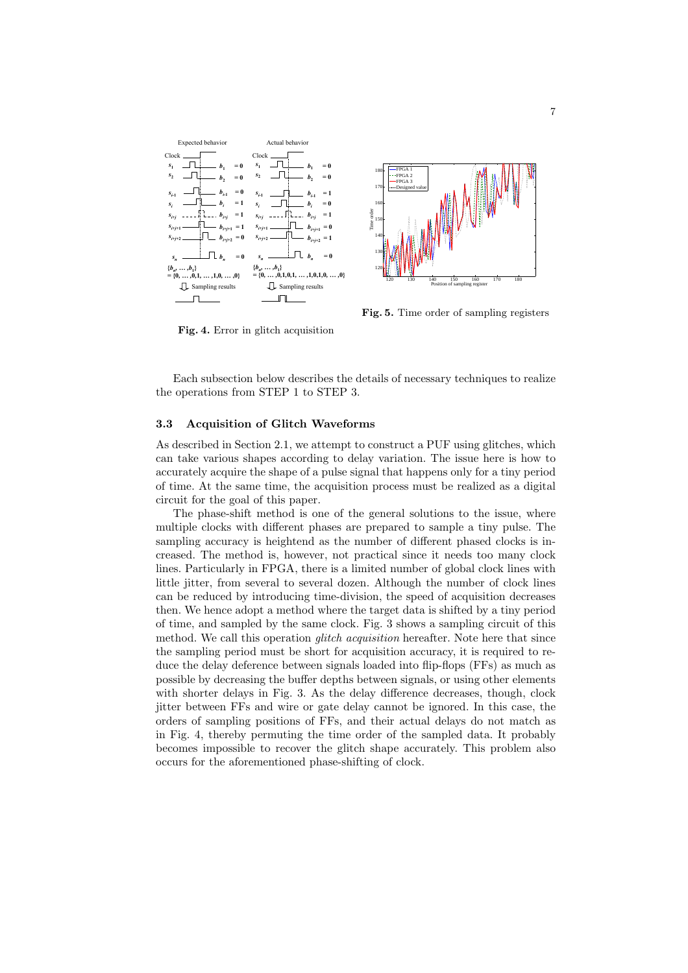

**Fig. 5.** Time order of sampling registers

Each subsection below describes the details of necessary techniques to realize the operations from STEP 1 to STEP 3.

#### **3.3 Acquisition of Glitch Waveforms**

As described in Section 2.1, we attempt to construct a PUF using glitches, which can take various shapes according to delay variation. The issue here is how to accurately acquire the shape of a pulse signal that happens only for a tiny period of time. At the same time, the acquisition process must be realized as a digital circuit for the goal of this paper.

The phase-shift method is one of the general solutions to the issue, where multiple clocks with different phases are prepared to sample a tiny pulse. The sampling accuracy is heightend as the number of different phased clocks is increased. The method is, however, not practical since it needs too many clock lines. Particularly in FPGA, there is a limited number of global clock lines with little jitter, from several to several dozen. Although the number of clock lines can be reduced by introducing time-division, the speed of acquisition decreases then. We hence adopt a method where the target data is shifted by a tiny period of time, and sampled by the same clock. Fig. 3 shows a sampling circuit of this method. We call this operation *glitch acquisition* hereafter. Note here that since the sampling period must be short for acquisition accuracy, it is required to reduce the delay deference between signals loaded into flip-flops (FFs) as much as possible by decreasing the buffer depths between signals, or using other elements with shorter delays in Fig. 3. As the delay difference decreases, though, clock jitter between FFs and wire or gate delay cannot be ignored. In this case, the orders of sampling positions of FFs, and their actual delays do not match as in Fig. 4, thereby permuting the time order of the sampled data. It probably becomes impossible to recover the glitch shape accurately. This problem also occurs for the aforementioned phase-shifting of clock.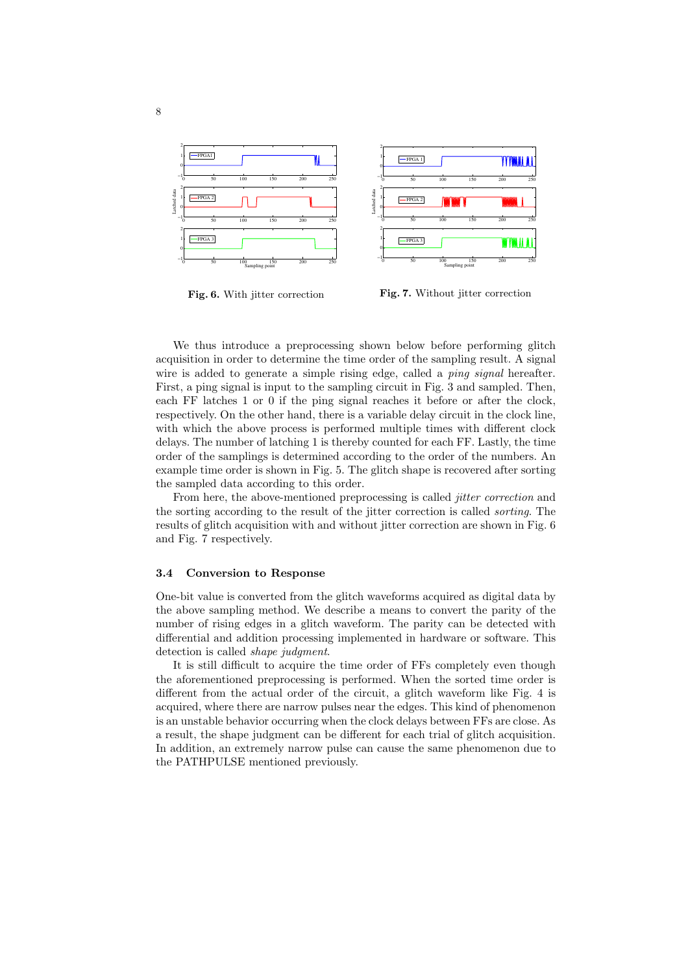

**Fig. 6.** With jitter correction

**Fig. 7.** Without jitter correction

We thus introduce a preprocessing shown below before performing glitch acquisition in order to determine the time order of the sampling result. A signal wire is added to generate a simple rising edge, called a *ping signal* hereafter. First, a ping signal is input to the sampling circuit in Fig. 3 and sampled. Then, each FF latches 1 or 0 if the ping signal reaches it before or after the clock, respectively. On the other hand, there is a variable delay circuit in the clock line, with which the above process is performed multiple times with different clock delays. The number of latching 1 is thereby counted for each FF. Lastly, the time order of the samplings is determined according to the order of the numbers. An example time order is shown in Fig. 5. The glitch shape is recovered after sorting the sampled data according to this order.

From here, the above-mentioned preprocessing is called *jitter correction* and the sorting according to the result of the jitter correction is called *sorting*. The results of glitch acquisition with and without jitter correction are shown in Fig. 6 and Fig. 7 respectively.

#### **3.4 Conversion to Response**

One-bit value is converted from the glitch waveforms acquired as digital data by the above sampling method. We describe a means to convert the parity of the number of rising edges in a glitch waveform. The parity can be detected with differential and addition processing implemented in hardware or software. This detection is called *shape judgment*.

It is still difficult to acquire the time order of FFs completely even though the aforementioned preprocessing is performed. When the sorted time order is different from the actual order of the circuit, a glitch waveform like Fig. 4 is acquired, where there are narrow pulses near the edges. This kind of phenomenon is an unstable behavior occurring when the clock delays between FFs are close. As a result, the shape judgment can be different for each trial of glitch acquisition. In addition, an extremely narrow pulse can cause the same phenomenon due to the PATHPULSE mentioned previously.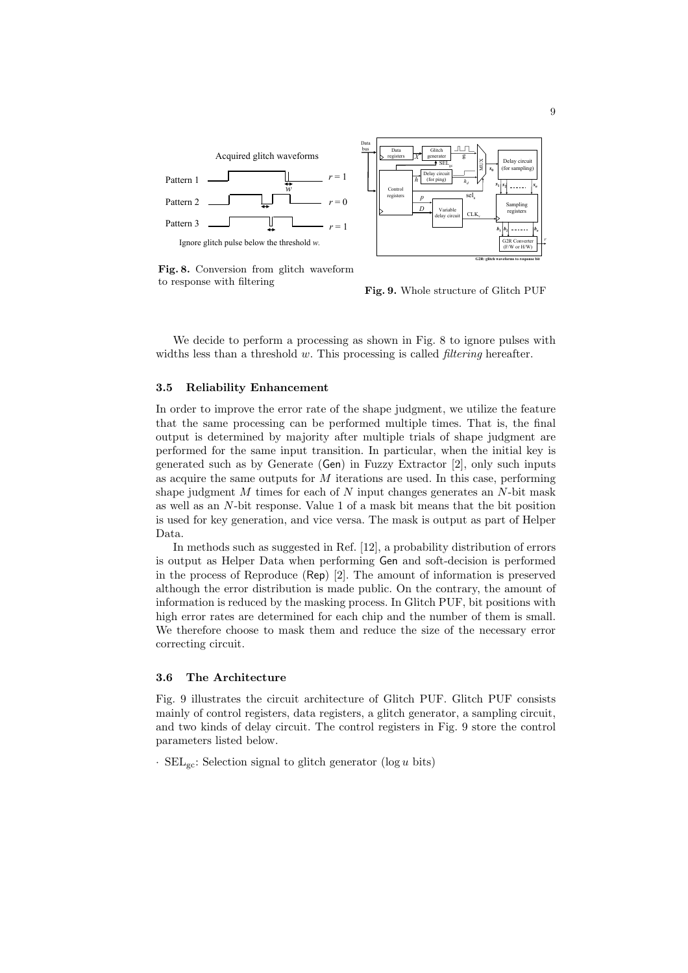

**Fig. 8.** Conversion from glitch waveform to response with filtering

**Fig. 9.** Whole structure of Glitch PUF

We decide to perform a processing as shown in Fig. 8 to ignore pulses with widths less than a threshold *w*. This processing is called *filtering* hereafter.

#### **3.5 Reliability Enhancement**

In order to improve the error rate of the shape judgment, we utilize the feature that the same processing can be performed multiple times. That is, the final output is determined by majority after multiple trials of shape judgment are performed for the same input transition. In particular, when the initial key is generated such as by Generate (Gen) in Fuzzy Extractor [2], only such inputs as acquire the same outputs for *M* iterations are used. In this case, performing shape judgment *M* times for each of *N* input changes generates an *N*-bit mask as well as an *N*-bit response. Value 1 of a mask bit means that the bit position is used for key generation, and vice versa. The mask is output as part of Helper Data.

In methods such as suggested in Ref. [12], a probability distribution of errors is output as Helper Data when performing Gen and soft-decision is performed in the process of Reproduce (Rep) [2]. The amount of information is preserved although the error distribution is made public. On the contrary, the amount of information is reduced by the masking process. In Glitch PUF, bit positions with high error rates are determined for each chip and the number of them is small. We therefore choose to mask them and reduce the size of the necessary error correcting circuit.

#### **3.6 The Architecture**

Fig. 9 illustrates the circuit architecture of Glitch PUF. Glitch PUF consists mainly of control registers, data registers, a glitch generator, a sampling circuit, and two kinds of delay circuit. The control registers in Fig. 9 store the control parameters listed below.

*·* SELgc: Selection signal to glitch generator (log *u* bits)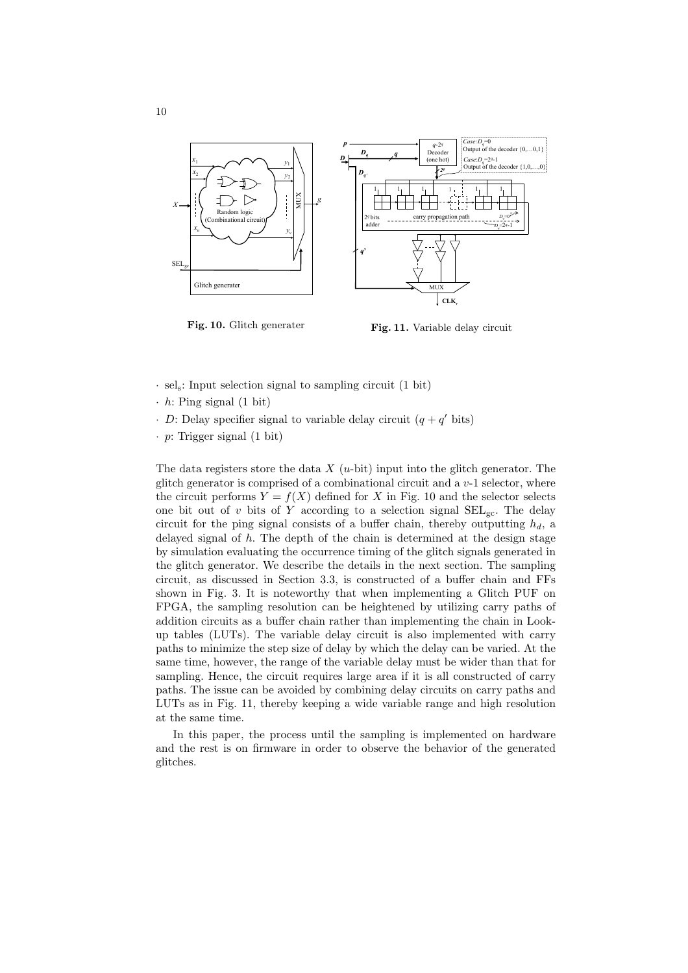

**Fig. 11.** Variable delay circuit

- *·* sels: Input selection signal to sampling circuit (1 bit)
- *· h*: Ping signal (1 bit)
- *· D*: Delay specifier signal to variable delay circuit (*q* + *q ′* bits)
- *· p*: Trigger signal (1 bit)

The data registers store the data *X* (*u*-bit) input into the glitch generator. The glitch generator is comprised of a combinational circuit and a *v*-1 selector, where the circuit performs  $Y = f(X)$  defined for *X* in Fig. 10 and the selector selects one bit out of *v* bits of *Y* according to a selection signal  $\text{SEL}_{\text{gc}}$ . The delay circuit for the ping signal consists of a buffer chain, thereby outputting  $h_d$ , a delayed signal of *h*. The depth of the chain is determined at the design stage by simulation evaluating the occurrence timing of the glitch signals generated in the glitch generator. We describe the details in the next section. The sampling circuit, as discussed in Section 3.3, is constructed of a buffer chain and FFs shown in Fig. 3. It is noteworthy that when implementing a Glitch PUF on FPGA, the sampling resolution can be heightened by utilizing carry paths of addition circuits as a buffer chain rather than implementing the chain in Lookup tables (LUTs). The variable delay circuit is also implemented with carry paths to minimize the step size of delay by which the delay can be varied. At the same time, however, the range of the variable delay must be wider than that for sampling. Hence, the circuit requires large area if it is all constructed of carry paths. The issue can be avoided by combining delay circuits on carry paths and LUTs as in Fig. 11, thereby keeping a wide variable range and high resolution at the same time.

In this paper, the process until the sampling is implemented on hardware and the rest is on firmware in order to observe the behavior of the generated glitches.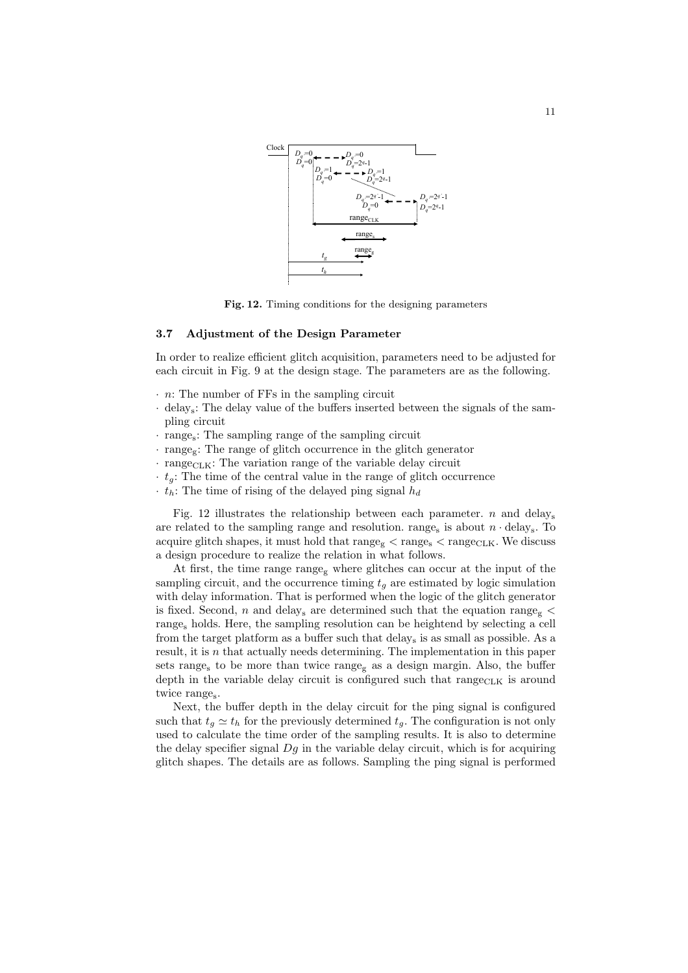

**Fig. 12.** Timing conditions for the designing parameters

# **3.7 Adjustment of the Design Parameter**

In order to realize efficient glitch acquisition, parameters need to be adjusted for each circuit in Fig. 9 at the design stage. The parameters are as the following.

- *· n*: The number of FFs in the sampling circuit
- *·* delays: The delay value of the buffers inserted between the signals of the sampling circuit
- *·* ranges: The sampling range of the sampling circuit
- *·* rangeg: The range of glitch occurrence in the glitch generator
- range<sub>CLK</sub>: The variation range of the variable delay circuit
- $\cdot$   $t_q$ : The time of the central value in the range of glitch occurrence
- *· th*: The time of rising of the delayed ping signal *h<sup>d</sup>*

Fig. 12 illustrates the relationship between each parameter.  $n$  and delays are related to the sampling range and resolution. range<sub>s</sub> is about  $n \cdot$  delay<sub>s</sub>. To acquire glitch shapes, it must hold that  $range_g < range_s < range_{CLK}$ . We discuss a design procedure to realize the relation in what follows.

At first, the time range range<sub>g</sub> where glitches can occur at the input of the sampling circuit, and the occurrence timing  $t<sub>q</sub>$  are estimated by logic simulation with delay information. That is performed when the logic of the glitch generator is fixed. Second, *n* and delay<sub>s</sub> are determined such that the equation range<sub>g</sub>  $\lt$ range<sup>s</sup> holds. Here, the sampling resolution can be heightend by selecting a cell from the target platform as a buffer such that delay<sup>s</sup> is as small as possible. As a result, it is *n* that actually needs determining. The implementation in this paper sets range<sub>s</sub> to be more than twice range<sub>g</sub> as a design margin. Also, the buffer depth in the variable delay circuit is configured such that  $range_{CLK}$  is around twice range.

Next, the buffer depth in the delay circuit for the ping signal is configured such that  $t_q \simeq t_h$  for the previously determined  $t_q$ . The configuration is not only used to calculate the time order of the sampling results. It is also to determine the delay specifier signal *Dg* in the variable delay circuit, which is for acquiring glitch shapes. The details are as follows. Sampling the ping signal is performed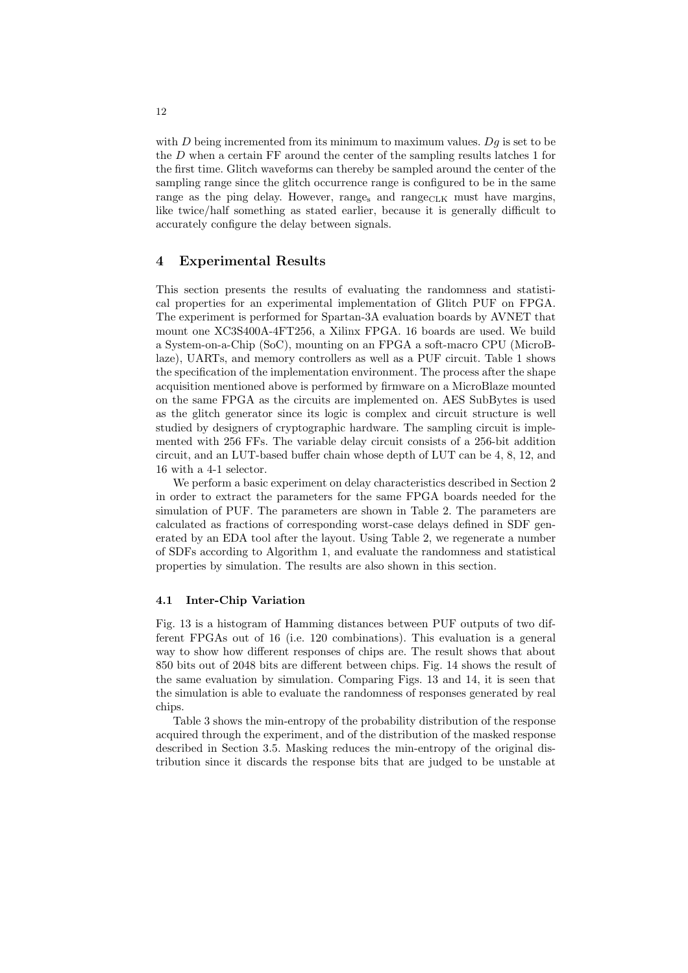with *D* being incremented from its minimum to maximum values. *Dg* is set to be the *D* when a certain FF around the center of the sampling results latches 1 for the first time. Glitch waveforms can thereby be sampled around the center of the sampling range since the glitch occurrence range is configured to be in the same range as the ping delay. However, range<sub>s</sub> and range<sub>CLK</sub> must have margins, like twice/half something as stated earlier, because it is generally difficult to accurately configure the delay between signals.

# **4 Experimental Results**

This section presents the results of evaluating the randomness and statistical properties for an experimental implementation of Glitch PUF on FPGA. The experiment is performed for Spartan-3A evaluation boards by AVNET that mount one XC3S400A-4FT256, a Xilinx FPGA. 16 boards are used. We build a System-on-a-Chip (SoC), mounting on an FPGA a soft-macro CPU (MicroBlaze), UARTs, and memory controllers as well as a PUF circuit. Table 1 shows the specification of the implementation environment. The process after the shape acquisition mentioned above is performed by firmware on a MicroBlaze mounted on the same FPGA as the circuits are implemented on. AES SubBytes is used as the glitch generator since its logic is complex and circuit structure is well studied by designers of cryptographic hardware. The sampling circuit is implemented with 256 FFs. The variable delay circuit consists of a 256-bit addition circuit, and an LUT-based buffer chain whose depth of LUT can be 4, 8, 12, and 16 with a 4-1 selector.

We perform a basic experiment on delay characteristics described in Section 2 in order to extract the parameters for the same FPGA boards needed for the simulation of PUF. The parameters are shown in Table 2. The parameters are calculated as fractions of corresponding worst-case delays defined in SDF generated by an EDA tool after the layout. Using Table 2, we regenerate a number of SDFs according to Algorithm 1, and evaluate the randomness and statistical properties by simulation. The results are also shown in this section.

# **4.1 Inter-Chip Variation**

Fig. 13 is a histogram of Hamming distances between PUF outputs of two different FPGAs out of 16 (i.e. 120 combinations). This evaluation is a general way to show how different responses of chips are. The result shows that about 850 bits out of 2048 bits are different between chips. Fig. 14 shows the result of the same evaluation by simulation. Comparing Figs. 13 and 14, it is seen that the simulation is able to evaluate the randomness of responses generated by real chips.

Table 3 shows the min-entropy of the probability distribution of the response acquired through the experiment, and of the distribution of the masked response described in Section 3.5. Masking reduces the min-entropy of the original distribution since it discards the response bits that are judged to be unstable at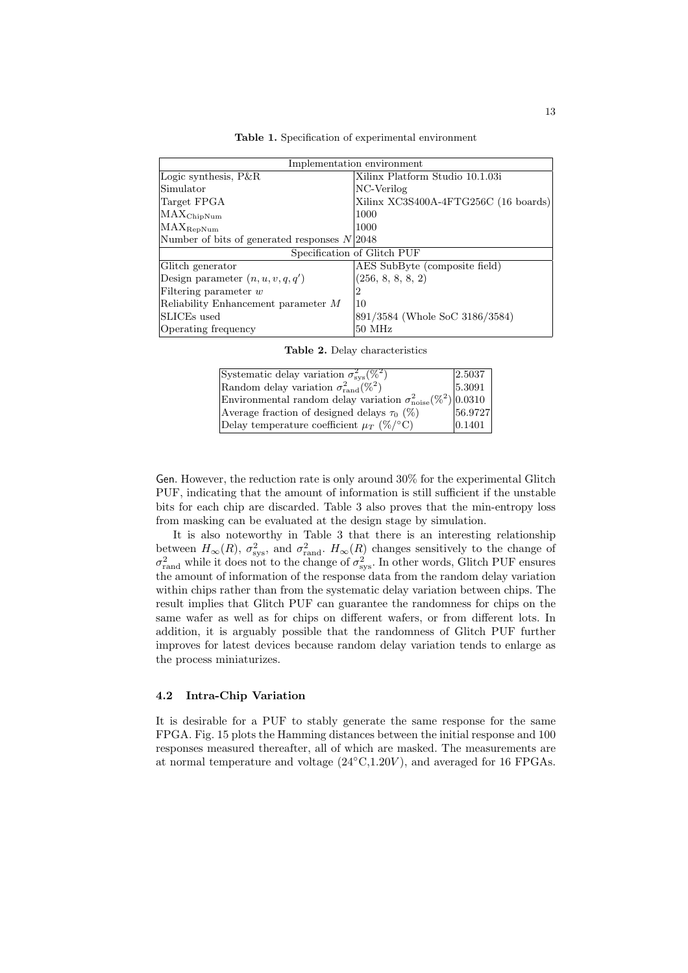| Implementation environment                     |                                      |  |
|------------------------------------------------|--------------------------------------|--|
| Logic synthesis, P&R                           | Xilinx Platform Studio 10.1.03i      |  |
| Simulator                                      | NC-Verilog                           |  |
| Target FPGA                                    | Xilinx XC3S400A-4FTG256C (16 boards) |  |
| $MAX_{ChipNum}$                                | 1000                                 |  |
| $\rm MAX_{RepNum}$                             | 1000                                 |  |
| Number of bits of generated responses $N 2048$ |                                      |  |
| Specification of Glitch PUF                    |                                      |  |
| Glitch generator                               | AES SubByte (composite field)        |  |
| Design parameter $(n, u, v, q, q')$            | (256, 8, 8, 8, 2)                    |  |
| Filtering parameter $w$                        | $\overline{2}$                       |  |
| Reliability Enhancement parameter M            | 10                                   |  |
| SLICEs used                                    | 891/3584 (Whole SoC 3186/3584)       |  |
| Operating frequency                            | $50$ MHz                             |  |

**Table 1.** Specification of experimental environment

**Table 2.** Delay characteristics

| Systematic delay variation $\overline{\sigma_{\rm sys}^2(\%^2)}$                     | 2.5037   |
|--------------------------------------------------------------------------------------|----------|
| Random delay variation $\sigma_{\text{rand}}^2(\%)^2$                                | 5.3091   |
| Environmental random delay variation $\sigma_{\text{noise}}^2(\%)$ 0.0310            |          |
| Average fraction of designed delays $\tau_0$ (%)                                     | 156.9727 |
| Delay temperature coefficient $\mu$ <sup><math>\tau</math></sup> (%/ <sup>o</sup> C) | 0.1401   |

Gen. However, the reduction rate is only around 30% for the experimental Glitch PUF, indicating that the amount of information is still sufficient if the unstable bits for each chip are discarded. Table 3 also proves that the min-entropy loss from masking can be evaluated at the design stage by simulation.

It is also noteworthy in Table 3 that there is an interesting relationship between  $H_{\infty}(R)$ ,  $\sigma_{sys}^2$ , and  $\sigma_{rand}^2$ .  $H_{\infty}(R)$  changes sensitively to the change of  $\sigma_{\text{rand}}^2$  while it does not to the change of  $\sigma_{\text{sys}}^2$ . In other words, Glitch PUF ensures the amount of information of the response data from the random delay variation within chips rather than from the systematic delay variation between chips. The result implies that Glitch PUF can guarantee the randomness for chips on the same wafer as well as for chips on different wafers, or from different lots. In addition, it is arguably possible that the randomness of Glitch PUF further improves for latest devices because random delay variation tends to enlarge as the process miniaturizes.

# **4.2 Intra-Chip Variation**

It is desirable for a PUF to stably generate the same response for the same FPGA. Fig. 15 plots the Hamming distances between the initial response and 100 responses measured thereafter, all of which are masked. The measurements are at normal temperature and voltage (24*◦*C,1.20*V* ), and averaged for 16 FPGAs.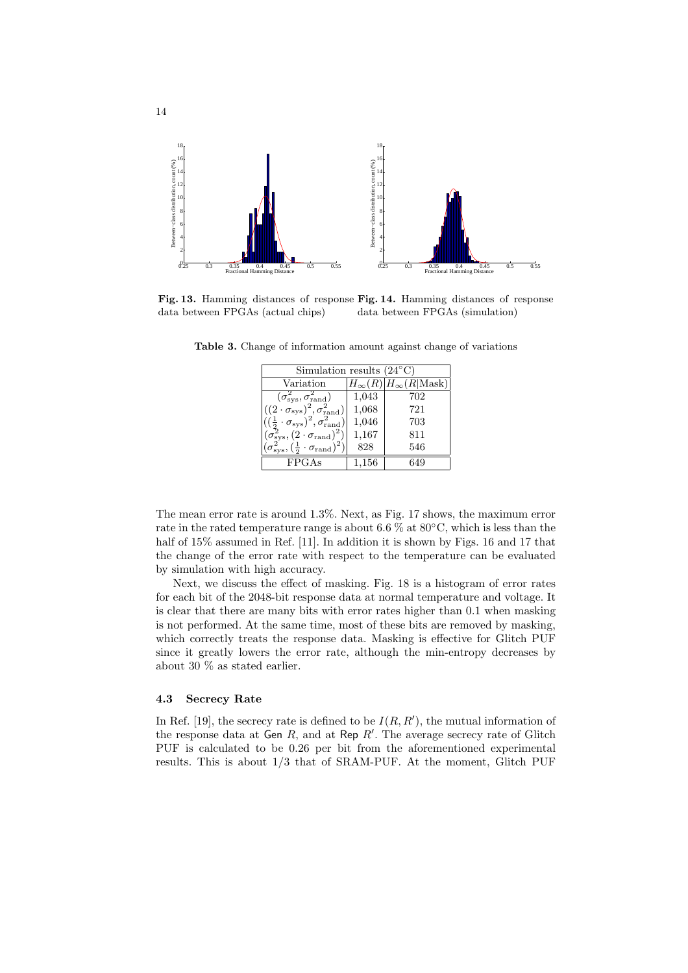

**Fig. 13.** Hamming distances of response **Fig. 14.** Hamming distances of response data between FPGAs (actual chips) data between FPGAs (simulation)

| Simulation results $(24^{\circ}C)$                                     |       |                                           |  |
|------------------------------------------------------------------------|-------|-------------------------------------------|--|
| Variation                                                              |       | $H_{\infty}(R) H_{\infty}(R \text{Mask})$ |  |
| $(\sigma_\mathrm{sys}^2, \sigma_\mathrm{rand}^2)$                      | 1,043 | 702                                       |  |
| $((2 \cdot \sigma_{\rm sys})^2, \sigma_{\rm rand}^2)$                  | 1,068 | 721                                       |  |
| $((\frac{1}{2} \cdot \sigma_{sys})^2, \sigma_{\text{rand}}^2)$         | 1,046 | 703                                       |  |
| $(\sigma_\mathrm{sys}^2, (2 \cdot \sigma_\mathrm{rand})^2)$            | 1,167 | 811                                       |  |
| $(\sigma_\mathrm{sys}^2, (\tfrac{1}{2} \cdot \sigma_\mathrm{rand})^2)$ | 828   | 546                                       |  |
| FPGAs                                                                  | 1,156 | 649                                       |  |

**Table 3.** Change of information amount against change of variations

The mean error rate is around 1.3%. Next, as Fig. 17 shows, the maximum error rate in the rated temperature range is about 6.6 % at 80*◦*C, which is less than the half of  $15\%$  assumed in Ref. [11]. In addition it is shown by Figs. 16 and 17 that the change of the error rate with respect to the temperature can be evaluated by simulation with high accuracy.

Next, we discuss the effect of masking. Fig. 18 is a histogram of error rates for each bit of the 2048-bit response data at normal temperature and voltage. It is clear that there are many bits with error rates higher than 0.1 when masking is not performed. At the same time, most of these bits are removed by masking, which correctly treats the response data. Masking is effective for Glitch PUF since it greatly lowers the error rate, although the min-entropy decreases by about 30 % as stated earlier.

#### **4.3 Secrecy Rate**

In Ref. [19], the secrecy rate is defined to be  $I(R, R')$ , the mutual information of the response data at Gen *R*, and at Rep *R′* . The average secrecy rate of Glitch PUF is calculated to be 0.26 per bit from the aforementioned experimental results. This is about 1/3 that of SRAM-PUF. At the moment, Glitch PUF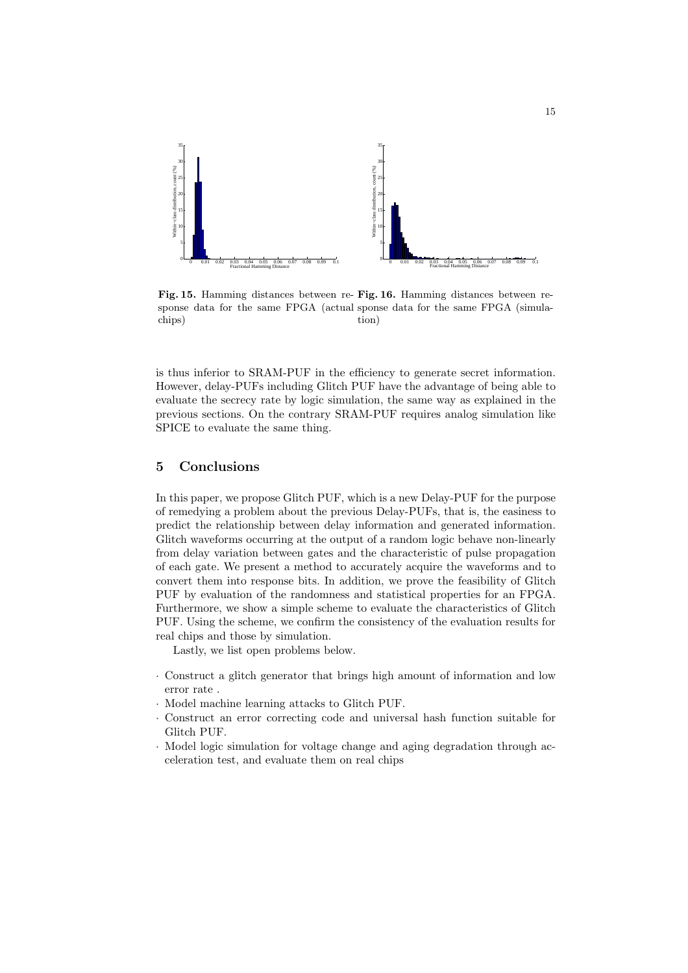

**Fig. 15.** Hamming distances between re-**Fig. 16.** Hamming distances between response data for the same FPGA (actual sponse data for the same FPGA (simulachips) tion)

is thus inferior to SRAM-PUF in the efficiency to generate secret information. However, delay-PUFs including Glitch PUF have the advantage of being able to evaluate the secrecy rate by logic simulation, the same way as explained in the previous sections. On the contrary SRAM-PUF requires analog simulation like SPICE to evaluate the same thing.

# **5 Conclusions**

In this paper, we propose Glitch PUF, which is a new Delay-PUF for the purpose of remedying a problem about the previous Delay-PUFs, that is, the easiness to predict the relationship between delay information and generated information. Glitch waveforms occurring at the output of a random logic behave non-linearly from delay variation between gates and the characteristic of pulse propagation of each gate. We present a method to accurately acquire the waveforms and to convert them into response bits. In addition, we prove the feasibility of Glitch PUF by evaluation of the randomness and statistical properties for an FPGA. Furthermore, we show a simple scheme to evaluate the characteristics of Glitch PUF. Using the scheme, we confirm the consistency of the evaluation results for real chips and those by simulation.

Lastly, we list open problems below.

- *·* Construct a glitch generator that brings high amount of information and low error rate .
- *·* Model machine learning attacks to Glitch PUF.
- *·* Construct an error correcting code and universal hash function suitable for Glitch PUF.
- *·* Model logic simulation for voltage change and aging degradation through acceleration test, and evaluate them on real chips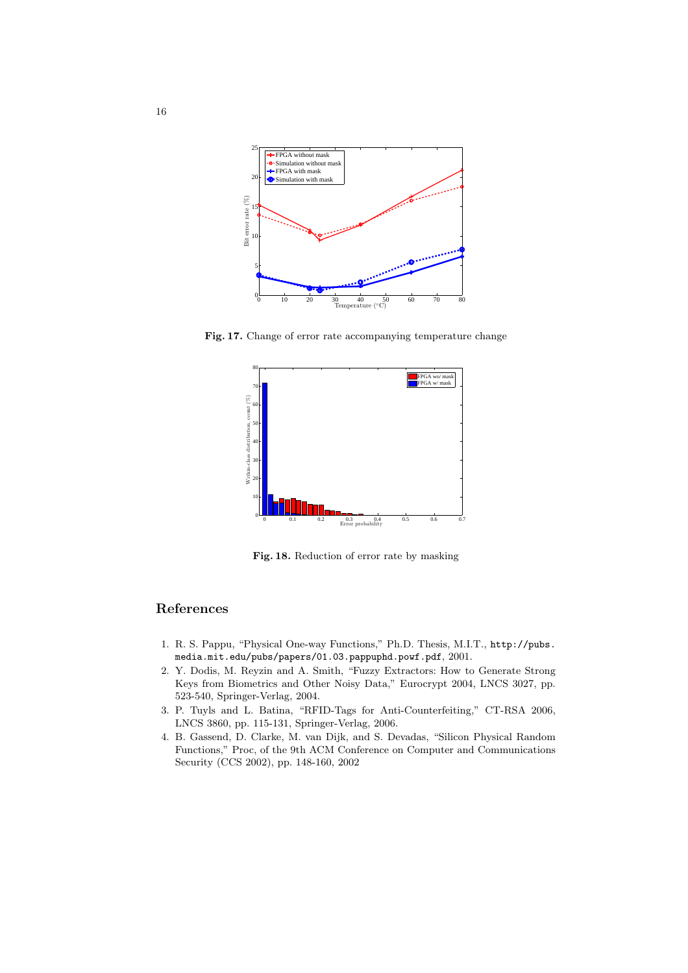

**Fig. 17.** Change of error rate accompanying temperature change



**Fig. 18.** Reduction of error rate by masking

# **References**

- 1. R. S. Pappu, "Physical One-way Functions," Ph.D. Thesis, M.I.T., http://pubs. media.mit.edu/pubs/papers/01.03.pappuphd.powf.pdf, 2001.
- 2. Y. Dodis, M. Reyzin and A. Smith, "Fuzzy Extractors: How to Generate Strong Keys from Biometrics and Other Noisy Data," Eurocrypt 2004, LNCS 3027, pp. 523-540, Springer-Verlag, 2004.
- 3. P. Tuyls and L. Batina, "RFID-Tags for Anti-Counterfeiting," CT-RSA 2006, LNCS 3860, pp. 115-131, Springer-Verlag, 2006.
- 4. B. Gassend, D. Clarke, M. van Dijk, and S. Devadas, "Silicon Physical Random Functions," Proc, of the 9th ACM Conference on Computer and Communications Security (CCS 2002), pp. 148-160, 2002